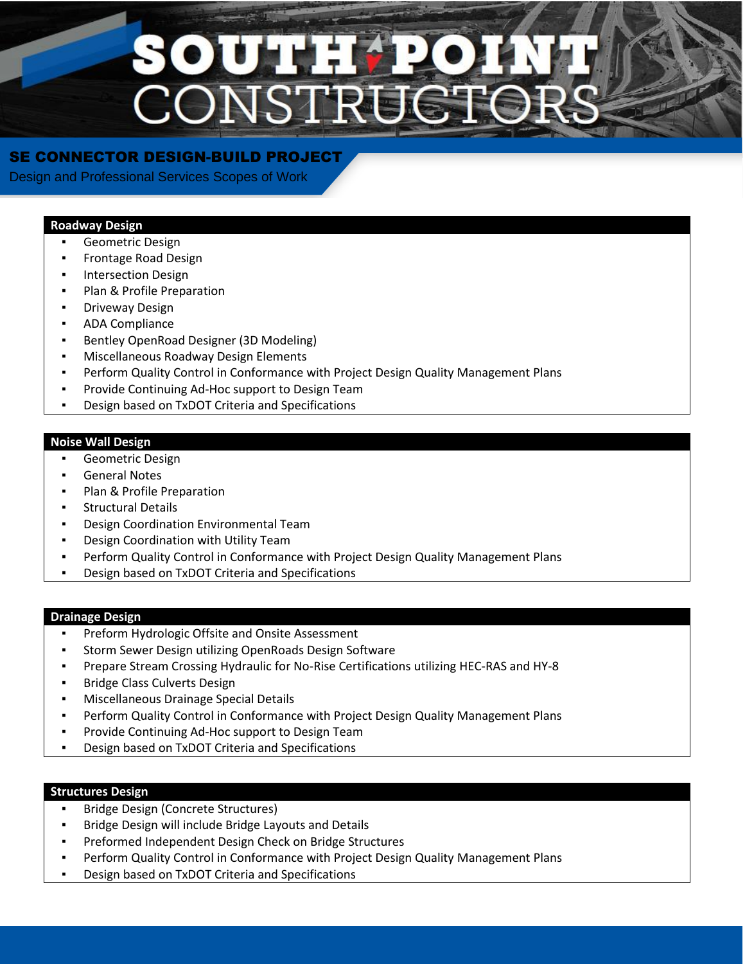# SOUTH CONST

# SE CONNECTOR DESIGN-BUILD PROJECT

Design and Professional Services Scopes of Work

### **Roadway Design**

- Geometric Design
- **Frontage Road Design**
- **Intersection Design**
- Plan & Profile Preparation
- **Driveway Design**
- ADA Compliance
- Bentley OpenRoad Designer (3D Modeling)
- **Miscellaneous Roadway Design Elements**
- Perform Quality Control in Conformance with Project Design Quality Management Plans
- Provide Continuing Ad-Hoc support to Design Team
- Design based on TxDOT Criteria and Specifications

## **Noise Wall Design**

- Geometric Design
- **General Notes**
- Plan & Profile Preparation
- **Structural Details**
- **Design Coordination Environmental Team**
- Design Coordination with Utility Team
- Perform Quality Control in Conformance with Project Design Quality Management Plans
- Design based on TxDOT Criteria and Specifications

#### **Drainage Design**

- Preform Hydrologic Offsite and Onsite Assessment
- Storm Sewer Design utilizing OpenRoads Design Software
- Prepare Stream Crossing Hydraulic for No-Rise Certifications utilizing HEC-RAS and HY-8
- **Bridge Class Culverts Design**
- **Miscellaneous Drainage Special Details**
- **Perform Quality Control in Conformance with Project Design Quality Management Plans**
- Provide Continuing Ad-Hoc support to Design Team
- Design based on TxDOT Criteria and Specifications

#### **Structures Design**

- **Bridge Design (Concrete Structures)**
- Bridge Design will include Bridge Layouts and Details
- Preformed Independent Design Check on Bridge Structures
- Perform Quality Control in Conformance with Project Design Quality Management Plans
- Design based on TxDOT Criteria and Specifications